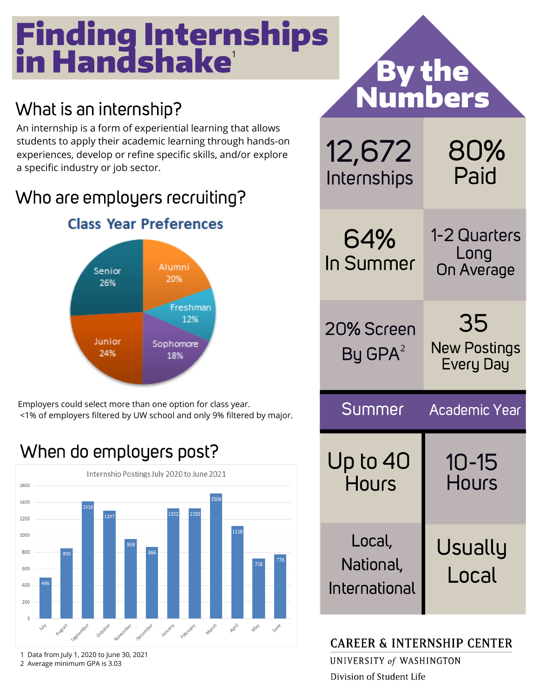## Finding Internships in Handshake 1

#### What is an internship?

An internship is a form of experiential learning that allows students to apply their academic learning through hands-on experiences, develop or refine specific skills, and/or explore a specific industry or job sector.

#### Who are employers recruiting?



Employers could select more than one option for class year. <1% of employers filtered by UW school and only 9% filtered by major.

#### When do employers post?



1 Data from July 1, 2020 to June 30, 2021 2 Average minimum GPA is 3.03

|                                      | <b>By the<br/>Numbers</b>              |
|--------------------------------------|----------------------------------------|
| 12,672<br>Internships                | 80%<br>Paid                            |
| 64%<br>In Summer                     | 1-2 Quarters<br>Long<br>On Average     |
| 20% Screen<br>By GPA <sup>2</sup>    | 35<br><b>New Postings</b><br>Every Day |
| Summer<br><b>Academic Year</b>       |                                        |
| Up to 40<br><b>Hours</b>             | 10-15<br>Hours                         |
| Local,<br>National,<br>International | Usually<br>Local                       |

#### **CAREER & INTERNSHIP CENTER**

UNIVERSITY of WASHINGTON Division of Student Life